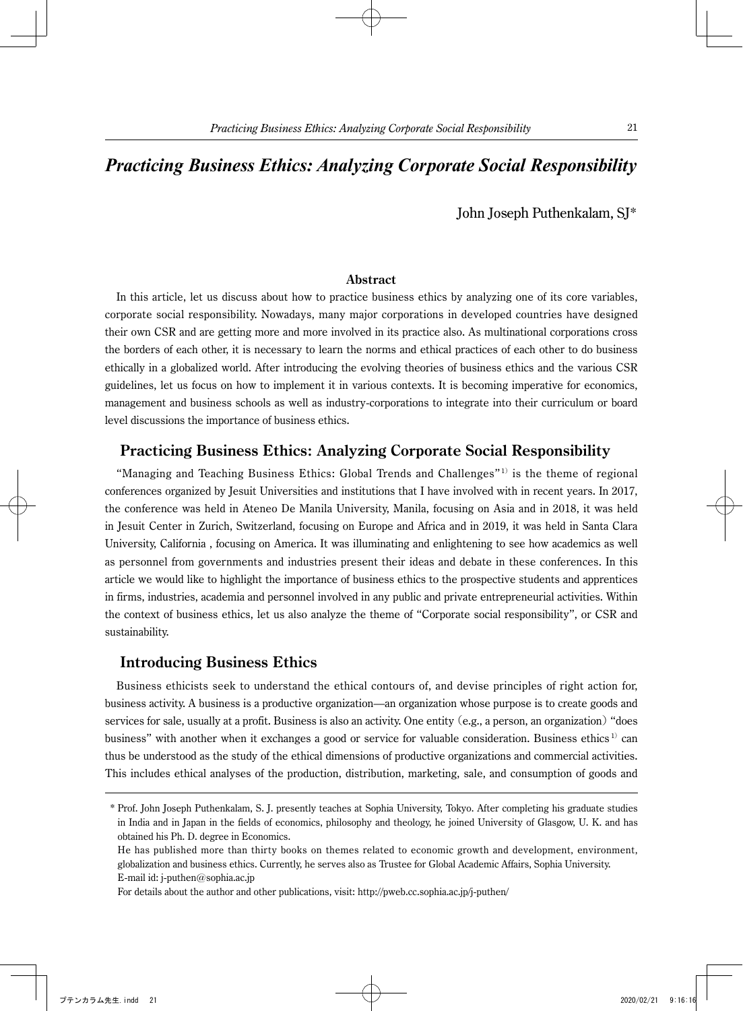# *Practicing Business Ethics: Analyzing Corporate Social Responsibility*

John Joseph Puthenkalam, SJ\*

## **Abstract**

In this article, let us discuss about how to practice business ethics by analyzing one of its core variables, corporate social responsibility. Nowadays, many major corporations in developed countries have designed their own CSR and are getting more and more involved in its practice also. As multinational corporations cross the borders of each other, it is necessary to learn the norms and ethical practices of each other to do business ethically in a globalized world. After introducing the evolving theories of business ethics and the various CSR guidelines, let us focus on how to implement it in various contexts. It is becoming imperative for economics, management and business schools as well as industry-corporations to integrate into their curriculum or board level discussions the importance of business ethics.

## **Practicing Business Ethics: Analyzing Corporate Social Responsibility**

"Managing and Teaching Business Ethics: Global Trends and Challenges"<sup>1)</sup> is the theme of regional conferences organized by Jesuit Universities and institutions that I have involved with in recent years. In 2017, the conference was held in Ateneo De Manila University, Manila, focusing on Asia and in 2018, it was held in Jesuit Center in Zurich, Switzerland, focusing on Europe and Africa and in 2019, it was held in Santa Clara University, California , focusing on America. It was illuminating and enlightening to see how academics as well as personnel from governments and industries present their ideas and debate in these conferences. In this article we would like to highlight the importance of business ethics to the prospective students and apprentices in firms, industries, academia and personnel involved in any public and private entrepreneurial activities. Within the context of business ethics, let us also analyze the theme of "Corporate social responsibility", or CSR and sustainability.

## **Introducing Business Ethics**

Business ethicists seek to understand the ethical contours of, and devise principles of right action for, business activity. A business is a productive organization—an organization whose purpose is to create goods and services for sale, usually at a profit. Business is also an activity. One entity (e.g., a person, an organization) "does business" with another when it exchanges a good or service for valuable consideration. Business ethics  $\mu$  can thus be understood as the study of the ethical dimensions of productive organizations and commercial activities. This includes ethical analyses of the production, distribution, marketing, sale, and consumption of goods and

 <sup>\*</sup> Prof. John Joseph Puthenkalam, S. J. presently teaches at Sophia University, Tokyo. After completing his graduate studies in India and in Japan in the fields of economics, philosophy and theology, he joined University of Glasgow, U. K. and has obtained his Ph. D. degree in Economics.

He has published more than thirty books on themes related to economic growth and development, environment, globalization and business ethics. Currently, he serves also as Trustee for Global Academic Affairs, Sophia University. E-mail id: j-puthen@sophia.ac.jp

For details about the author and other publications, visit: http://pweb.cc.sophia.ac.jp/j-puthen/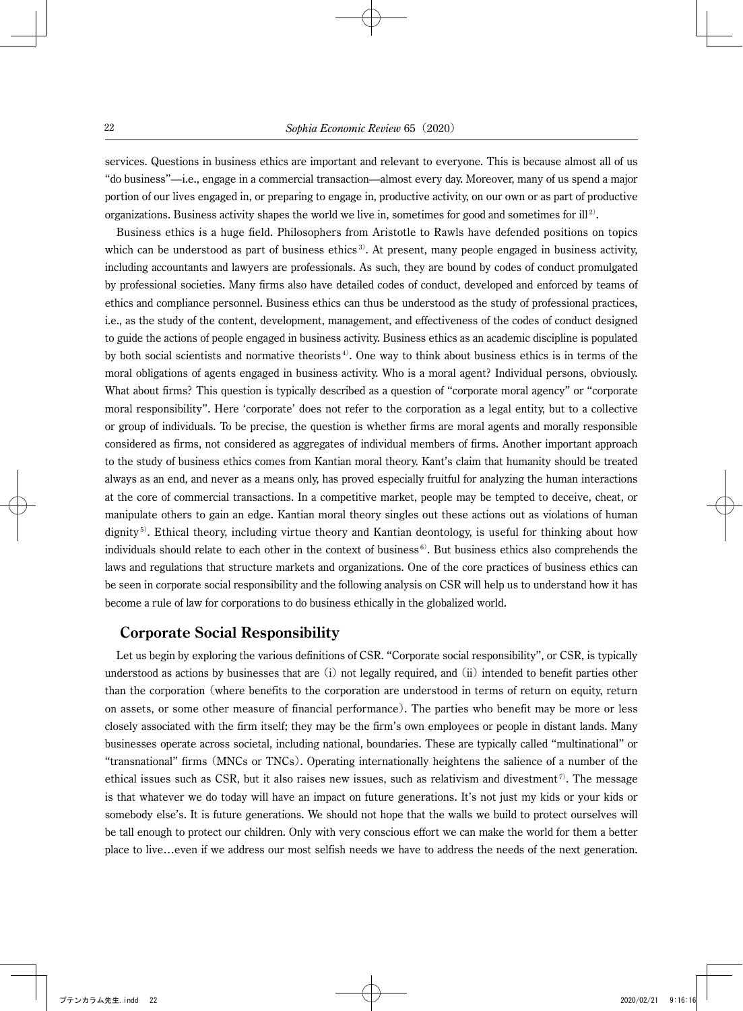services. Questions in business ethics are important and relevant to everyone. This is because almost all of us "do business"—i.e., engage in a commercial transaction—almost every day. Moreover, many of us spend a major portion of our lives engaged in, or preparing to engage in, productive activity, on our own or as part of productive organizations. Business activity shapes the world we live in, sometimes for good and sometimes for ill<sup>2)</sup>.

Business ethics is a huge field. Philosophers from Aristotle to Rawls have defended positions on topics which can be understood as part of business ethics<sup>3</sup>. At present, many people engaged in business activity, including accountants and lawyers are professionals. As such, they are bound by codes of conduct promulgated by professional societies. Many firms also have detailed codes of conduct, developed and enforced by teams of ethics and compliance personnel. Business ethics can thus be understood as the study of professional practices, i.e., as the study of the content, development, management, and effectiveness of the codes of conduct designed to guide the actions of people engaged in business activity. Business ethics as an academic discipline is populated by both social scientists and normative theorists<sup>4</sup>. One way to think about business ethics is in terms of the moral obligations of agents engaged in business activity. Who is a moral agent? Individual persons, obviously. What about firms? This question is typically described as a question of "corporate moral agency" or "corporate moral responsibility". Here 'corporate' does not refer to the corporation as a legal entity, but to a collective or group of individuals. To be precise, the question is whether firms are moral agents and morally responsible considered as firms, not considered as aggregates of individual members of firms. Another important approach to the study of business ethics comes from Kantian moral theory. Kant's claim that humanity should be treated always as an end, and never as a means only, has proved especially fruitful for analyzing the human interactions at the core of commercial transactions. In a competitive market, people may be tempted to deceive, cheat, or manipulate others to gain an edge. Kantian moral theory singles out these actions out as violations of human dignity <sup>5</sup>). Ethical theory, including virtue theory and Kantian deontology, is useful for thinking about how individuals should relate to each other in the context of business<sup>6</sup>. But business ethics also comprehends the laws and regulations that structure markets and organizations. One of the core practices of business ethics can be seen in corporate social responsibility and the following analysis on CSR will help us to understand how it has become a rule of law for corporations to do business ethically in the globalized world.

## **Corporate Social Responsibility**

Let us begin by exploring the various definitions of CSR. "Corporate social responsibility", or CSR, is typically understood as actions by businesses that are  $(i)$  not legally required, and  $(ii)$  intended to benefit parties other than the corporation (where benefits to the corporation are understood in terms of return on equity, return on assets, or some other measure of financial performance). The parties who benefit may be more or less closely associated with the firm itself; they may be the firm's own employees or people in distant lands. Many businesses operate across societal, including national, boundaries. These are typically called "multinational" or "transnational" firms (MNCs or TNCs). Operating internationally heightens the salience of a number of the ethical issues such as CSR, but it also raises new issues, such as relativism and divestment<sup>7</sup>. The message is that whatever we do today will have an impact on future generations. It's not just my kids or your kids or somebody else's. It is future generations. We should not hope that the walls we build to protect ourselves will be tall enough to protect our children. Only with very conscious effort we can make the world for them a better place to live…even if we address our most selfish needs we have to address the needs of the next generation.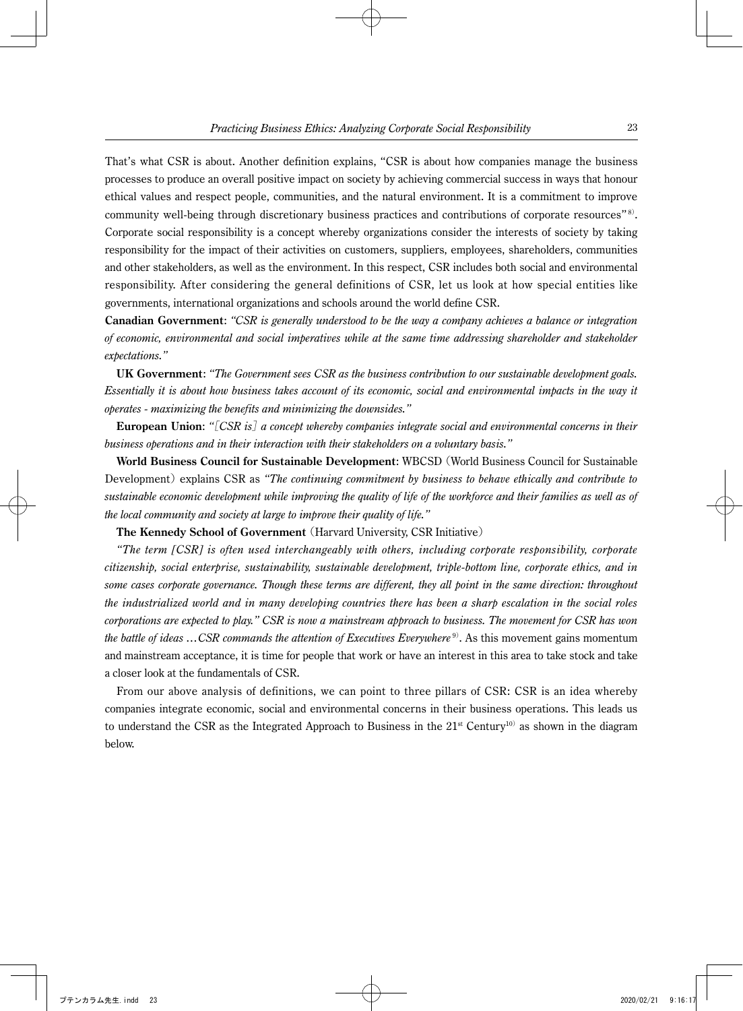That's what CSR is about. Another definition explains, "CSR is about how companies manage the business processes to produce an overall positive impact on society by achieving commercial success in ways that honour ethical values and respect people, communities, and the natural environment. It is a commitment to improve community well-being through discretionary business practices and contributions of corporate resources" <sup>8)</sup>. Corporate social responsibility is a concept whereby organizations consider the interests of society by taking responsibility for the impact of their activities on customers, suppliers, employees, shareholders, communities and other stakeholders, as well as the environment. In this respect, CSR includes both social and environmental responsibility. After considering the general definitions of CSR, let us look at how special entities like governments, international organizations and schools around the world define CSR.

**Canadian Government**: *"CSR is generally understood to be the way a company achieves a balance or integration of economic, environmental and social imperatives while at the same time addressing shareholder and stakeholder expectations."*

**UK Government**: *"The Government sees CSR as the business contribution to our sustainable development goals. Essentially it is about how business takes account of its economic, social and environmental impacts in the way it operates - maximizing the benefits and minimizing the downsides."*

**European Union:** "[CSR is] a concept whereby companies integrate social and environmental concerns in their *business operations and in their interaction with their stakeholders on a voluntary basis."*

**World Business Council for Sustainable Development**: WBCSD (World Business Council for Sustainable Development) explains CSR as "The continuing commitment by business to behave ethically and contribute to *sustainable economic development while improving the quality of life of the workforce and their families as well as of the local community and society at large to improve their quality of life."*

**The Kennedy School of Government**(Harvard University, CSR Initiative)

*"The term [CSR] is often used interchangeably with others, including corporate responsibility, corporate citizenship, social enterprise, sustainability, sustainable development, triple-bottom line, corporate ethics, and in*  some cases corporate governance. Though these terms are different, they all point in the same direction: throughout *the industrialized world and in many developing countries there has been a sharp escalation in the social roles corporations are expected to play." CSR is now a mainstream approach to business. The movement for CSR has won the battle of ideas …CSR commands the attention of Executives Everywhere* <sup>9</sup>). As this movement gains momentum and mainstream acceptance, it is time for people that work or have an interest in this area to take stock and take a closer look at the fundamentals of CSR.

From our above analysis of definitions, we can point to three pillars of CSR: CSR is an idea whereby companies integrate economic, social and environmental concerns in their business operations. This leads us to understand the CSR as the Integrated Approach to Business in the  $21^{st}$  Century<sup>10)</sup> as shown in the diagram below.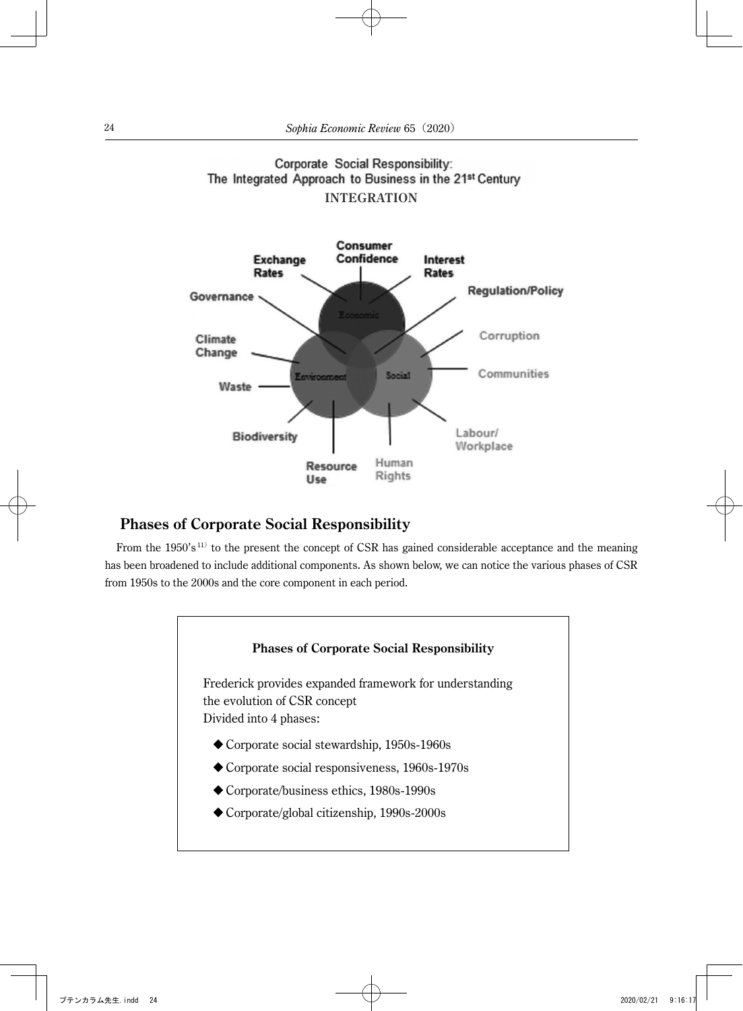Corporate Social Responsibility: The Integrated Approach to Business in the 21st Century



## **Phases of Corporate Social Responsibility**

From the 1950's<sup>11)</sup> to the present the concept of CSR has gained considerable acceptance and the meaning has been broadened to include additional components. As shown below, we can notice the various phases of CSR from 1950s to the 2000s and the core component in each period.

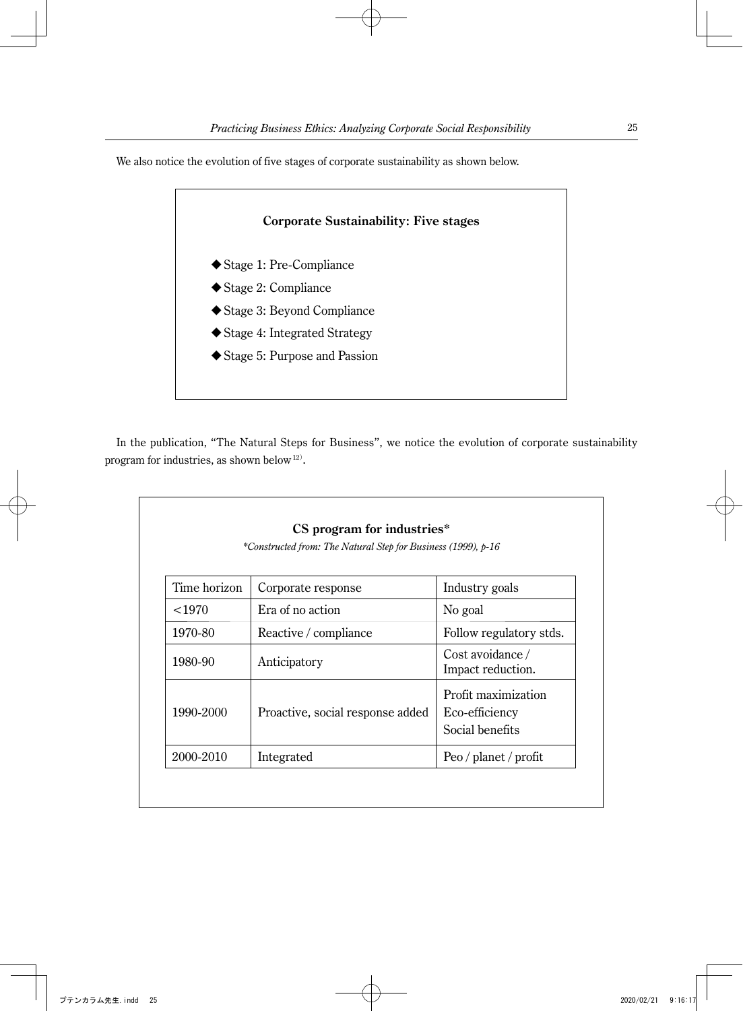We also notice the evolution of five stages of corporate sustainability as shown below.



In the publication, "The Natural Steps for Business", we notice the evolution of corporate sustainability program for industries, as shown below<sup>12)</sup>.

| *Constructed from: The Natural Step for Business (1999), p-16 |                                  |                                                          |  |
|---------------------------------------------------------------|----------------------------------|----------------------------------------------------------|--|
| Time horizon                                                  | Corporate response               | Industry goals                                           |  |
| < 1970                                                        | Era of no action                 | No goal                                                  |  |
| 1970-80                                                       | Reactive / compliance            | Follow regulatory stds.                                  |  |
| 1980-90                                                       | Anticipatory                     | Cost avoidance /<br>Impact reduction.                    |  |
| 1990-2000                                                     | Proactive, social response added | Profit maximization<br>Eco-efficiency<br>Social benefits |  |
| 2000-2010                                                     | Integrated                       | Peo / planet / profit                                    |  |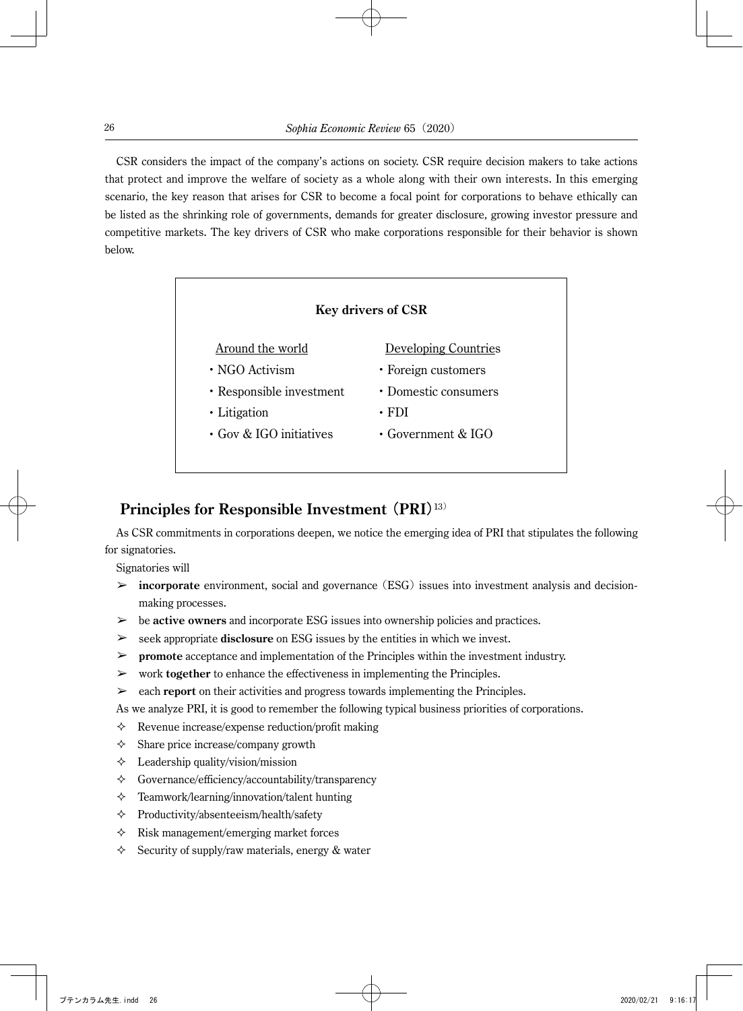CSR considers the impact of the company's actions on society. CSR require decision makers to take actions that protect and improve the welfare of society as a whole along with their own interests. In this emerging scenario, the key reason that arises for CSR to become a focal point for corporations to behave ethically can be listed as the shrinking role of governments, demands for greater disclosure, growing investor pressure and competitive markets. The key drivers of CSR who make corporations responsible for their behavior is shown below.

| <b>Key drivers of CSR</b>     |                             |  |  |
|-------------------------------|-----------------------------|--|--|
| Around the world              | <b>Developing Countries</b> |  |  |
| · NGO Activism                | • Foreign customers         |  |  |
| • Responsible investment      | • Domestic consumers        |  |  |
| • Litigation                  | $\cdot$ FDI                 |  |  |
| $\cdot$ Gov & IGO initiatives | $\cdot$ Government & IGO    |  |  |
|                               |                             |  |  |

## **Principles for Responsible Investment** (**PRI**)13)

As CSR commitments in corporations deepen, we notice the emerging idea of PRI that stipulates the following for signatories.

Signatories will

- ➢ **incorporate** environment, social and governance (ESG)issues into investment analysis and decisionmaking processes.
- ➢ be **active owners** and incorporate ESG issues into ownership policies and practices.
- ➢ seek appropriate **disclosure** on ESG issues by the entities in which we invest.
- ➢ **promote** acceptance and implementation of the Principles within the investment industry.
- ➢ work **together** to enhance the effectiveness in implementing the Principles.
- ➢ each **report** on their activities and progress towards implementing the Principles.

As we analyze PRI, it is good to remember the following typical business priorities of corporations.

- $\Diamond$  Revenue increase/expense reduction/profit making
- $\Diamond$  Share price increase/company growth
- $\Diamond$  Leadership quality/vision/mission
- $\Diamond$  Governance/efficiency/accountability/transparency
- $\Diamond$  Teamwork/learning/innovation/talent hunting
- $\Diamond$  Productivity/absenteeism/health/safety
- $\Diamond$  Risk management/emerging market forces
- $\Diamond$  Security of supply/raw materials, energy & water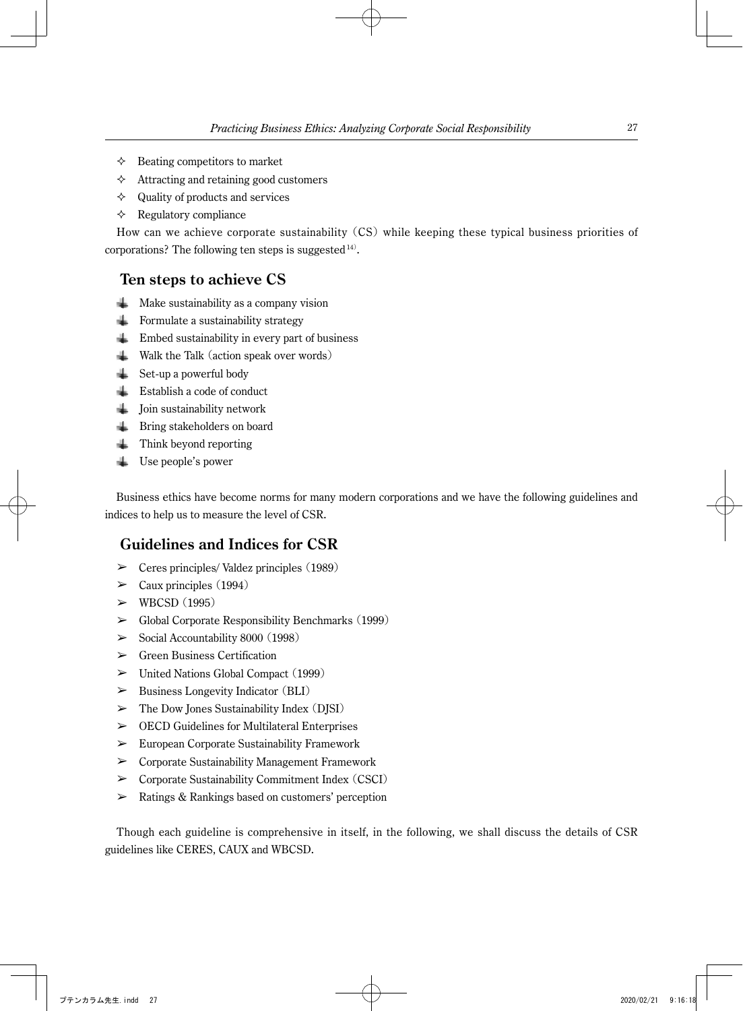- $\Diamond$  Beating competitors to market
- $\Diamond$  Attracting and retaining good customers
- $\Diamond$  Quality of products and services
- $\Diamond$  Regulatory compliance

How can we achieve corporate sustainability (CS) while keeping these typical business priorities of corporations? The following ten steps is suggested  $14$ .

## **Ten steps to achieve CS**

- $\perp$  Make sustainability as a company vision
- $\overline{\phantom{a}}$  Formulate a sustainability strategy
- Embed sustainability in every part of business
- Walk the Talk (action speak over words)
- $\overline{\phantom{a}}$  Set-up a powerful body
- $\perp$  Establish a code of conduct
- $\overline{\phantom{a}}$  Join sustainability network
- **Bring stakeholders on board**
- $\blacksquare$  Think beyond reporting
- Use people's power

Business ethics have become norms for many modern corporations and we have the following guidelines and indices to help us to measure the level of CSR.

## **Guidelines and Indices for CSR**

- ➢ Ceres principles/ Valdez principles (1989)
- $\blacktriangleright$  Caux principles (1994)
- $\geq$  WBCSD (1995)
- $\triangleright$  Global Corporate Responsibility Benchmarks (1999)
- ➢ Social Accountability 8000 (1998)
- $\triangleright$  Green Business Certification
- ➢ United Nations Global Compact (1999)
- $\triangleright$  Business Longevity Indicator (BLI)
- ➢ The Dow Jones Sustainability Index (DJSI)
- ➢ OECD Guidelines for Multilateral Enterprises
- ➢ European Corporate Sustainability Framework
- ➢ Corporate Sustainability Management Framework
- ➢ Corporate Sustainability Commitment Index (CSCI)
- ➢ Ratings & Rankings based on customers' perception

Though each guideline is comprehensive in itself, in the following, we shall discuss the details of CSR guidelines like CERES, CAUX and WBCSD.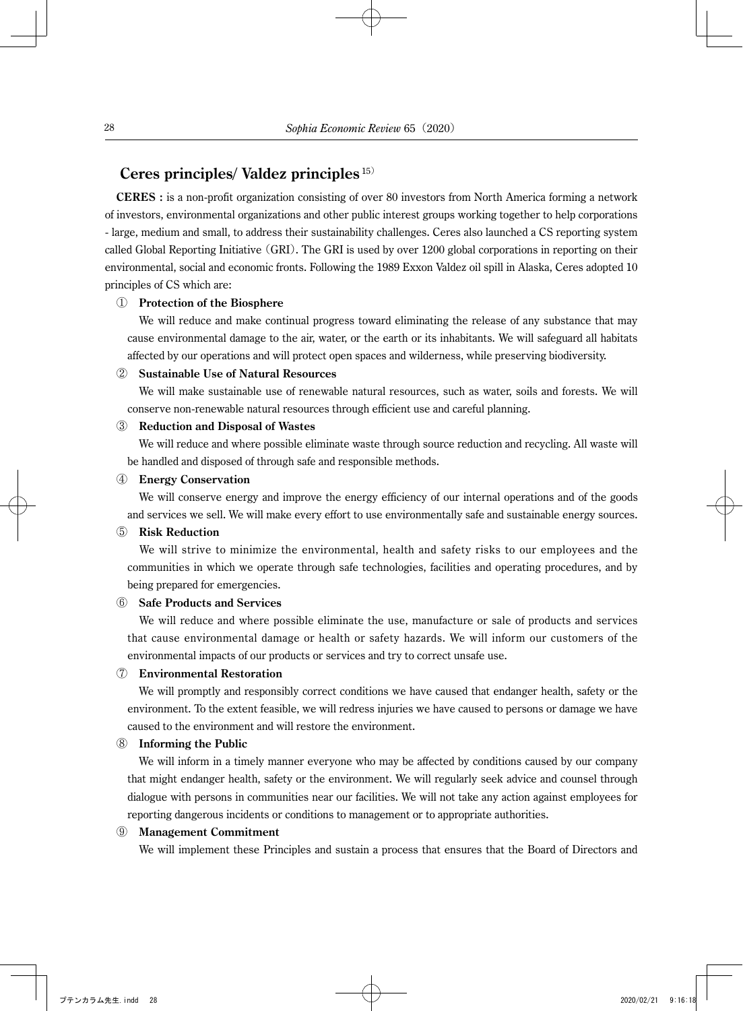## **Ceres principles/ Valdez principles** <sup>15</sup>)

**CERES :** is a non-profit organization consisting of over 80 investors from North America forming a network of investors, environmental organizations and other public interest groups working together to help corporations - large, medium and small, to address their sustainability challenges. Ceres also launched a CS reporting system called Global Reporting Initiative (GRI). The GRI is used by over 1200 global corporations in reporting on their environmental, social and economic fronts. Following the 1989 Exxon Valdez oil spill in Alaska, Ceres adopted 10 principles of CS which are:

#### ① **Protection of the Biosphere**

 We will reduce and make continual progress toward eliminating the release of any substance that may cause environmental damage to the air, water, or the earth or its inhabitants. We will safeguard all habitats affected by our operations and will protect open spaces and wilderness, while preserving biodiversity.

#### ② **Sustainable Use of Natural Resources**

 We will make sustainable use of renewable natural resources, such as water, soils and forests. We will conserve non-renewable natural resources through efficient use and careful planning.

## ③ **Reduction and Disposal of Wastes**

 We will reduce and where possible eliminate waste through source reduction and recycling. All waste will be handled and disposed of through safe and responsible methods.

#### ④ **Energy Conservation**

 We will conserve energy and improve the energy efficiency of our internal operations and of the goods and services we sell. We will make every effort to use environmentally safe and sustainable energy sources.

#### ⑤ **Risk Reduction**

 We will strive to minimize the environmental, health and safety risks to our employees and the communities in which we operate through safe technologies, facilities and operating procedures, and by being prepared for emergencies.

#### ⑥ **Safe Products and Services**

 We will reduce and where possible eliminate the use, manufacture or sale of products and services that cause environmental damage or health or safety hazards. We will inform our customers of the environmental impacts of our products or services and try to correct unsafe use.

### ⑦ **Environmental Restoration**

 We will promptly and responsibly correct conditions we have caused that endanger health, safety or the environment. To the extent feasible, we will redress injuries we have caused to persons or damage we have caused to the environment and will restore the environment.

#### ⑧ **Informing the Public**

 We will inform in a timely manner everyone who may be affected by conditions caused by our company that might endanger health, safety or the environment. We will regularly seek advice and counsel through dialogue with persons in communities near our facilities. We will not take any action against employees for reporting dangerous incidents or conditions to management or to appropriate authorities.

#### ⑨ **Management Commitment**

We will implement these Principles and sustain a process that ensures that the Board of Directors and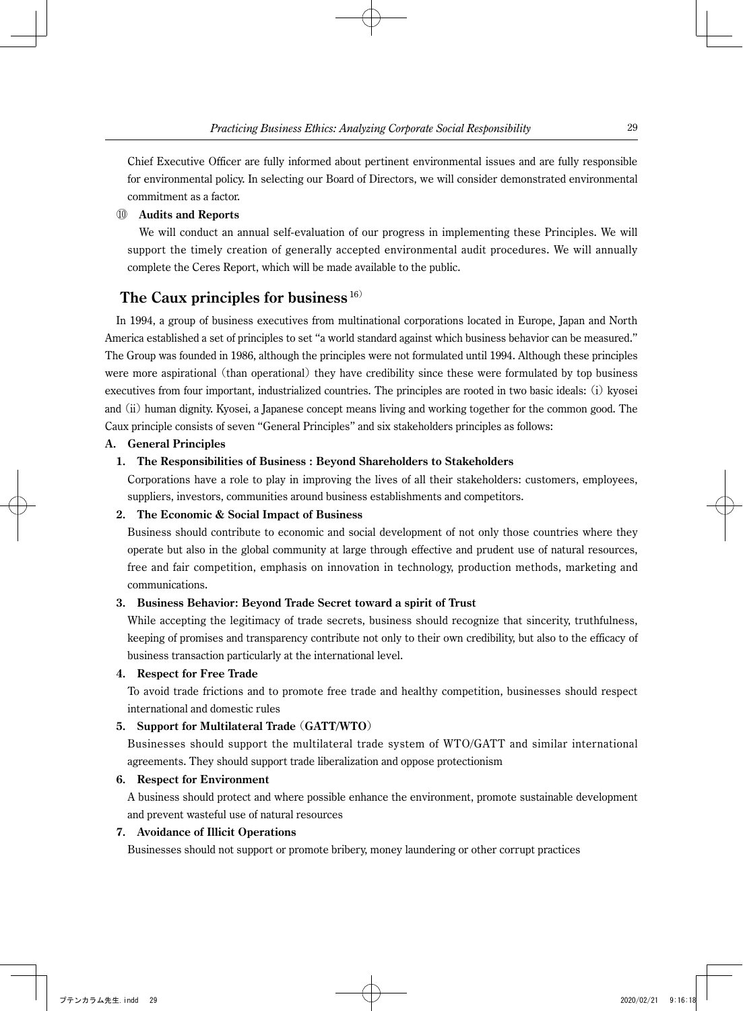Chief Executive Officer are fully informed about pertinent environmental issues and are fully responsible for environmental policy. In selecting our Board of Directors, we will consider demonstrated environmental commitment as a factor.

## ⑩ **Audits and Reports**

 We will conduct an annual self-evaluation of our progress in implementing these Principles. We will support the timely creation of generally accepted environmental audit procedures. We will annually complete the Ceres Report, which will be made available to the public.

## **The Caux principles for business** <sup>16</sup>)

In 1994, a group of business executives from multinational corporations located in Europe, Japan and North America established a set of principles to set "a world standard against which business behavior can be measured." The Group was founded in 1986, although the principles were not formulated until 1994. Although these principles were more aspirational (than operational) they have credibility since these were formulated by top business executives from four important, industrialized countries. The principles are rooted in two basic ideals: (i) kyosei and (ii) human dignity. Kyosei, a Japanese concept means living and working together for the common good. The Caux principle consists of seven "General Principles" and six stakeholders principles as follows:

## **A. General Principles**

## **1. The Responsibilities of Business : Beyond Shareholders to Stakeholders**

 Corporations have a role to play in improving the lives of all their stakeholders: customers, employees, suppliers, investors, communities around business establishments and competitors.

### **2. The Economic & Social Impact of Business**

 Business should contribute to economic and social development of not only those countries where they operate but also in the global community at large through effective and prudent use of natural resources, free and fair competition, emphasis on innovation in technology, production methods, marketing and communications.

### **3. Business Behavior: Beyond Trade Secret toward a spirit of Trust**

 While accepting the legitimacy of trade secrets, business should recognize that sincerity, truthfulness, keeping of promises and transparency contribute not only to their own credibility, but also to the efficacy of business transaction particularly at the international level.

### **4. Respect for Free Trade**

 To avoid trade frictions and to promote free trade and healthy competition, businesses should respect international and domestic rules

## **5. Support for Multilateral Trade** (**GATT/WTO**)

 Businesses should support the multilateral trade system of WTO/GATT and similar international agreements. They should support trade liberalization and oppose protectionism

### **6. Respect for Environment**

 A business should protect and where possible enhance the environment, promote sustainable development and prevent wasteful use of natural resources

### **7. Avoidance of Illicit Operations**

Businesses should not support or promote bribery, money laundering or other corrupt practices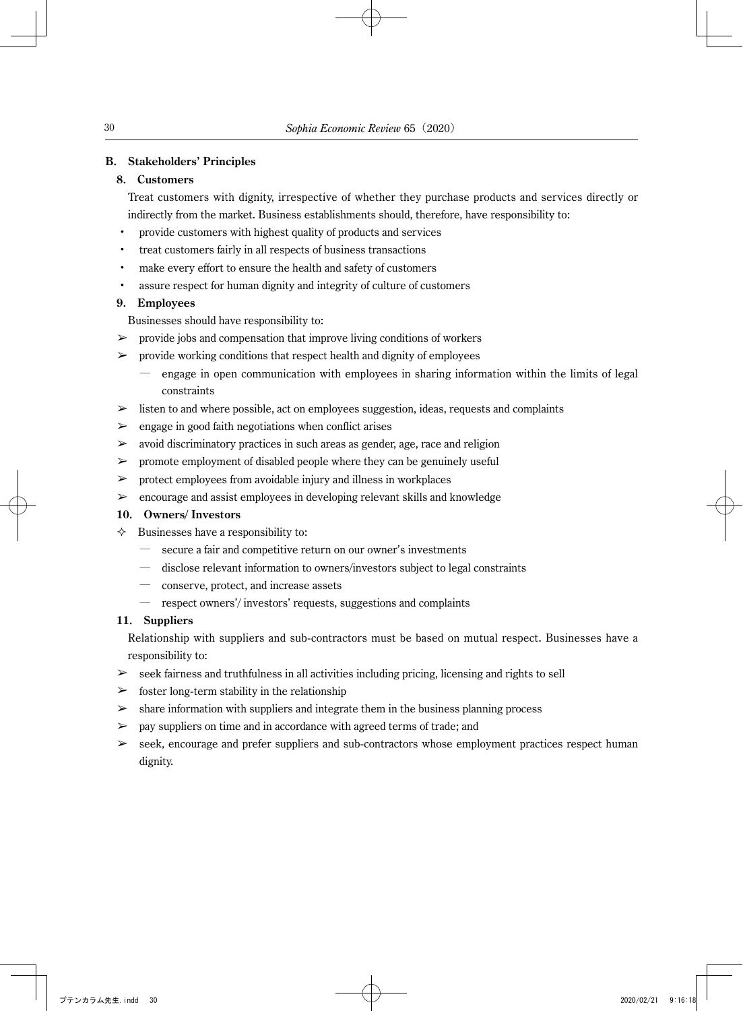### **B. Stakeholders' Principles**

### **8. Customers**

 Treat customers with dignity, irrespective of whether they purchase products and services directly or indirectly from the market. Business establishments should, therefore, have responsibility to:

- provide customers with highest quality of products and services
- treat customers fairly in all respects of business transactions
- make every effort to ensure the health and safety of customers
- assure respect for human dignity and integrity of culture of customers

#### **9. Employees**

Businesses should have responsibility to:

- $\triangleright$  provide jobs and compensation that improve living conditions of workers
- $\triangleright$  provide working conditions that respect health and dignity of employees
	- $-$  engage in open communication with employees in sharing information within the limits of legal constraints
- $\geq$  listen to and where possible, act on employees suggestion, ideas, requests and complaints
- $\geq$  engage in good faith negotiations when conflict arises
- $\geq$  avoid discriminatory practices in such areas as gender, age, race and religion
- ➢ promote employment of disabled people where they can be genuinely useful
- $\triangleright$  protect employees from avoidable injury and illness in workplaces
- $\geq$  encourage and assist employees in developing relevant skills and knowledge

## **10. Owners/ Investors**

- $\Diamond$  Businesses have a responsibility to:
	- ― secure a fair and competitive return on our owner's investments
	- ― disclose relevant information to owners/investors subject to legal constraints
	- ― conserve, protect, and increase assets
	- ― respect owners'/ investors' requests, suggestions and complaints

## **11. Suppliers**

 Relationship with suppliers and sub-contractors must be based on mutual respect. Businesses have a responsibility to:

- $\geq$  seek fairness and truthfulness in all activities including pricing, licensing and rights to sell
- $\triangleright$  foster long-term stability in the relationship
- $>$  share information with suppliers and integrate them in the business planning process
- $\geq$  pay suppliers on time and in accordance with agreed terms of trade; and
- $\geq$  seek, encourage and prefer suppliers and sub-contractors whose employment practices respect human dignity.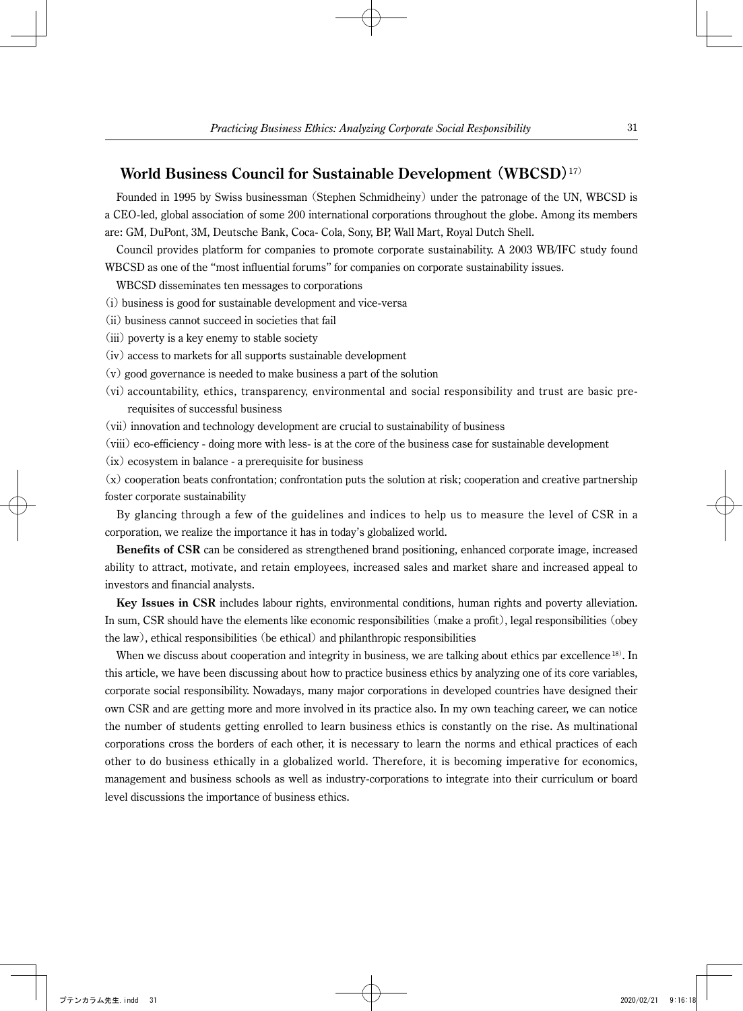## **World Business Council for Sustainable Development** (**WBCSD**)17)

Founded in 1995 by Swiss businessman (Stephen Schmidheiny) under the patronage of the UN, WBCSD is a CEO-led, global association of some 200 international corporations throughout the globe. Among its members are: GM, DuPont, 3M, Deutsche Bank, Coca- Cola, Sony, BP, Wall Mart, Royal Dutch Shell.

Council provides platform for companies to promote corporate sustainability. A 2003 WB/IFC study found WBCSD as one of the "most influential forums" for companies on corporate sustainability issues.

WBCSD disseminates ten messages to corporations

- (i) business is good for sustainable development and vice-versa
- (ii) business cannot succeed in societies that fail
- (iii) poverty is a key enemy to stable society
- (iv) access to markets for all supports sustainable development
- (v) good governance is needed to make business a part of the solution
- (vi) accountability, ethics, transparency, environmental and social responsibility and trust are basic prerequisites of successful business
- (vii) innovation and technology development are crucial to sustainability of business
- (viii) eco-efficiency doing more with less- is at the core of the business case for sustainable development
- (ix) ecosystem in balance a prerequisite for business

 $(x)$  cooperation beats confrontation; confrontation puts the solution at risk; cooperation and creative partnership foster corporate sustainability

By glancing through a few of the guidelines and indices to help us to measure the level of CSR in a corporation, we realize the importance it has in today's globalized world.

**Benefits of CSR** can be considered as strengthened brand positioning, enhanced corporate image, increased ability to attract, motivate, and retain employees, increased sales and market share and increased appeal to investors and financial analysts.

**Key Issues in CSR** includes labour rights, environmental conditions, human rights and poverty alleviation. In sum, CSR should have the elements like economic responsibilities (make a profit), legal responsibilities (obey the law), ethical responsibilities (be ethical) and philanthropic responsibilities

When we discuss about cooperation and integrity in business, we are talking about ethics par excellence <sup>18)</sup>. In this article, we have been discussing about how to practice business ethics by analyzing one of its core variables, corporate social responsibility. Nowadays, many major corporations in developed countries have designed their own CSR and are getting more and more involved in its practice also. In my own teaching career, we can notice the number of students getting enrolled to learn business ethics is constantly on the rise. As multinational corporations cross the borders of each other, it is necessary to learn the norms and ethical practices of each other to do business ethically in a globalized world. Therefore, it is becoming imperative for economics, management and business schools as well as industry-corporations to integrate into their curriculum or board level discussions the importance of business ethics.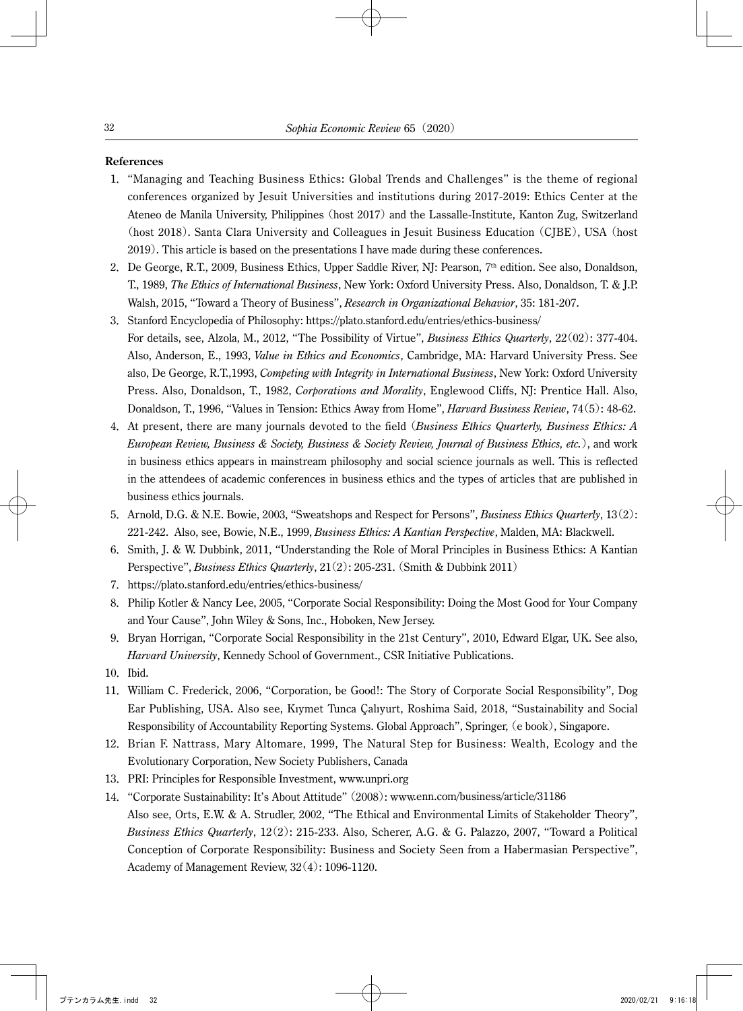#### **References**

- 1. "Managing and Teaching Business Ethics: Global Trends and Challenges" is the theme of regional conferences organized by Jesuit Universities and institutions during 2017-2019: Ethics Center at the Ateneo de Manila University, Philippines (host 2017) and the Lassalle-Institute, Kanton Zug, Switzerland (host 2018). Santa Clara University and Colleagues in Jesuit Business Education (CJBE), USA (host 2019). This article is based on the presentations I have made during these conferences.
- 2. De George, R.T., 2009, Business Ethics, Upper Saddle River, NJ: Pearson, 7th edition. See also, Donaldson, T., 1989, *The Ethics of International Business*, New York: Oxford University Press. Also, Donaldson, T. & J.P. Walsh, 2015, "Toward a Theory of Business", *Research in Organizational Behavior*, 35: 181-207.
- 3.Stanford Encyclopedia of Philosophy: https://plato.stanford.edu/entries/ethics-business/ For details, see, Alzola, M., 2012, "The Possibility of Virtue", *Business Ethics Quarterly*, 22(02): 377-404. Also, Anderson, E., 1993, *Value in Ethics and Economics*, Cambridge, MA: Harvard University Press. See also, De George, R.T.,1993, *Competing with Integrity in International Business*, New York: Oxford University Press. Also, Donaldson, T., 1982, *Corporations and Morality*, Englewood Cliffs, NJ: Prentice Hall. Also, Donaldson, T., 1996, "Values in Tension: Ethics Away from Home", *Harvard Business Review*, 74(5): 48-62.
- 4. At present, there are many journals devoted to the field (*Business Ethics Quarterly, Business Ethics: A European Review, Business & Society, Business & Society Review, Journal of Business Ethics, etc.*), and work in business ethics appears in mainstream philosophy and social science journals as well. This is reflected in the attendees of academic conferences in business ethics and the types of articles that are published in business ethics journals.
- 5. Arnold, D.G. & N.E. Bowie, 2003, "Sweatshops and Respect for Persons", *Business Ethics Quarterly*, 13(2): 221-242. Also, see, Bowie, N.E., 1999, *Business Ethics: A Kantian Perspective*, Malden, MA: Blackwell.
- 6. Smith, J. & W. Dubbink, 2011, "Understanding the Role of Moral Principles in Business Ethics: A Kantian Perspective", *Business Ethics Quarterly*, 21(2): 205-231. (Smith & Dubbink 2011)
- 7.https://plato.stanford.edu/entries/ethics-business/
- 8. Philip Kotler & Nancy Lee, 2005, "Corporate Social Responsibility: Doing the Most Good for Your Company and Your Cause", John Wiley & Sons, Inc., Hoboken, New Jersey.
- 9. Bryan Horrigan, "Corporate Social Responsibility in the 21st Century", 2010, Edward Elgar, UK. See also, *Harvard University*, Kennedy School of Government., CSR Initiative Publications.
- 10.Ibid.
- 11. William C. Frederick, 2006, "Corporation, be Good!: The Story of Corporate Social Responsibility", Dog Ear Publishing, USA. Also see, Kıymet Tunca Çalıyurt, Roshima Said, 2018, "Sustainability and Social Responsibility of Accountability Reporting Systems. Global Approach", Springer, (e book), Singapore.
- 12. Brian F. Nattrass, Mary Altomare, 1999, The Natural Step for Business: Wealth, Ecology and the Evolutionary Corporation, New Society Publishers, Canada
- 13.PRI: Principles for Responsible Investment, www.unpri.org
- 14."Corporate Sustainability: It's About Attitude" (2008): www.enn.com/business/article/31186 Also see, Orts, E.W. & A. Strudler, 2002, "The Ethical and Environmental Limits of Stakeholder Theory", *Business Ethics Quarterly*, 12(2): 215-233. Also, Scherer, A.G. & G. Palazzo, 2007, "Toward a Political Conception of Corporate Responsibility: Business and Society Seen from a Habermasian Perspective", Academy of Management Review, 32(4): 1096-1120.